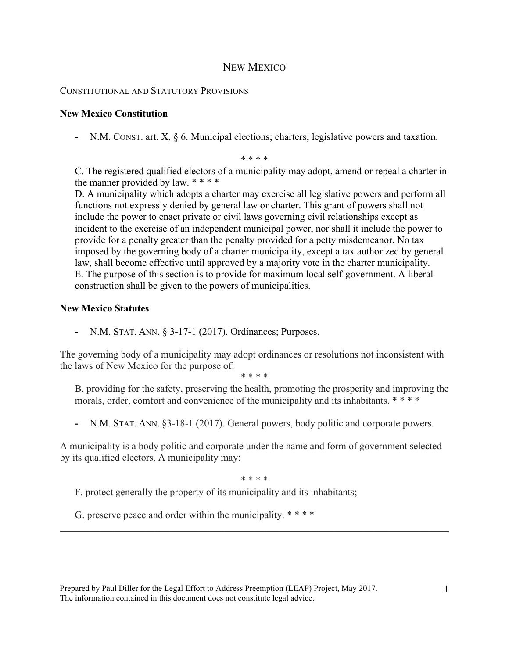# NEW MEXICO

## CONSTITUTIONAL AND STATUTORY PROVISIONS

## **New Mexico Constitution**

**-** N.M. CONST. art. X, § 6. Municipal elections; charters; legislative powers and taxation.

\* \* \* \*

C. The registered qualified electors of a municipality may adopt, amend or repeal a charter in the manner provided by law. \* \* \* \*

D. A municipality which adopts a charter may exercise all legislative powers and perform all functions not expressly denied by general law or charter. This grant of powers shall not include the power to enact private or civil laws governing civil relationships except as incident to the exercise of an independent municipal power, nor shall it include the power to provide for a penalty greater than the penalty provided for a petty misdemeanor. No tax imposed by the governing body of a charter municipality, except a tax authorized by general law, shall become effective until approved by a majority vote in the charter municipality. E. The purpose of this section is to provide for maximum local self-government. A liberal construction shall be given to the powers of municipalities.

#### **New Mexico Statutes**

**-** N.M. STAT. ANN. § 3-17-1 (2017). Ordinances; Purposes.

The governing body of a municipality may adopt ordinances or resolutions not inconsistent with the laws of New Mexico for the purpose of:

\* \* \* \*

B. providing for the safety, preserving the health, promoting the prosperity and improving the morals, order, comfort and convenience of the municipality and its inhabitants. \*\*\*\*

**-** N.M. STAT. ANN. §3-18-1 (2017). General powers, body politic and corporate powers.

A municipality is a body politic and corporate under the name and form of government selected by its qualified electors. A municipality may:

\* \* \* \*

 $\mathcal{L}_\mathcal{L} = \mathcal{L}_\mathcal{L} = \mathcal{L}_\mathcal{L} = \mathcal{L}_\mathcal{L} = \mathcal{L}_\mathcal{L} = \mathcal{L}_\mathcal{L} = \mathcal{L}_\mathcal{L} = \mathcal{L}_\mathcal{L} = \mathcal{L}_\mathcal{L} = \mathcal{L}_\mathcal{L} = \mathcal{L}_\mathcal{L} = \mathcal{L}_\mathcal{L} = \mathcal{L}_\mathcal{L} = \mathcal{L}_\mathcal{L} = \mathcal{L}_\mathcal{L} = \mathcal{L}_\mathcal{L} = \mathcal{L}_\mathcal{L}$ 

F. protect generally the property of its municipality and its inhabitants;

G. preserve peace and order within the municipality. \* \* \* \*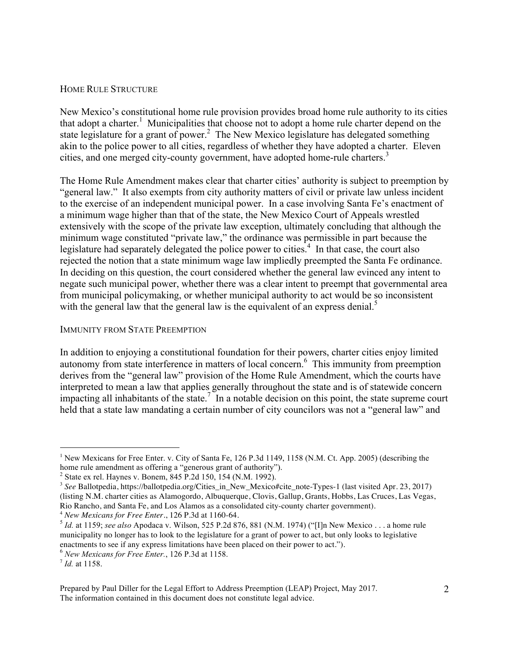#### HOME RULE STRUCTURE

New Mexico's constitutional home rule provision provides broad home rule authority to its cities that adopt a charter.<sup>1</sup> Municipalities that choose not to adopt a home rule charter depend on the state legislature for a grant of power.<sup>2</sup> The New Mexico legislature has delegated something akin to the police power to all cities, regardless of whether they have adopted a charter. Eleven cities, and one merged city-county government, have adopted home-rule charters.<sup>3</sup>

The Home Rule Amendment makes clear that charter cities' authority is subject to preemption by "general law." It also exempts from city authority matters of civil or private law unless incident to the exercise of an independent municipal power. In a case involving Santa Fe's enactment of a minimum wage higher than that of the state, the New Mexico Court of Appeals wrestled extensively with the scope of the private law exception, ultimately concluding that although the minimum wage constituted "private law," the ordinance was permissible in part because the legislature had separately delegated the police power to cities.<sup>4</sup> In that case, the court also rejected the notion that a state minimum wage law impliedly preempted the Santa Fe ordinance. In deciding on this question, the court considered whether the general law evinced any intent to negate such municipal power, whether there was a clear intent to preempt that governmental area from municipal policymaking, or whether municipal authority to act would be so inconsistent with the general law that the general law is the equivalent of an express denial.<sup>5</sup>

#### IMMUNITY FROM STATE PREEMPTION

In addition to enjoying a constitutional foundation for their powers, charter cities enjoy limited autonomy from state interference in matters of local concern.<sup>6</sup> This immunity from preemption derives from the "general law" provision of the Home Rule Amendment, which the courts have interpreted to mean a law that applies generally throughout the state and is of statewide concern impacting all inhabitants of the state.<sup>7</sup> In a notable decision on this point, the state supreme court held that a state law mandating a certain number of city councilors was not a "general law" and

<sup>&</sup>lt;sup>1</sup> New Mexicans for Free Enter. v. City of Santa Fe, 126 P.3d 1149, 1158 (N.M. Ct. App. 2005) (describing the home rule amendment as offering a "generous grant of authority").

 $2$  State ex rel. Haynes v. Bonem, 845 P.2d 150, 154 (N.M. 1992).

<sup>&</sup>lt;sup>3</sup> See Ballotpedia, https://ballotpedia.org/Cities\_in\_New\_Mexico#cite\_note-Types-1 (last visited Apr. 23, 2017) (listing N.M. charter cities as Alamogordo, Albuquerque, Clovis, Gallup, Grants, Hobbs, Las Cruces, Las Vegas, Rio Rancho, and Santa Fe, and Los Alamos as a consolidated city-county charter government).<br><sup>4</sup> New Mexicans for Free Enter., 126 P.3d at 1160-64.

<sup>&</sup>lt;sup>5</sup> *Id.* at 1159; see also Apodaca v. Wilson, 525 P.2d 876, 881 (N.M. 1974) ("[I]n New Mexico . . . a home rule municipality no longer has to look to the legislature for a grant of power to act, but only looks to legislative enactments to see if any express limitations have been placed on their power to act."). <sup>6</sup> *New Mexicans for Free Enter.*, 126 P.3d at 1158.

<sup>7</sup> *Id.* at 1158.

Prepared by Paul Diller for the Legal Effort to Address Preemption (LEAP) Project, May 2017. The information contained in this document does not constitute legal advice.